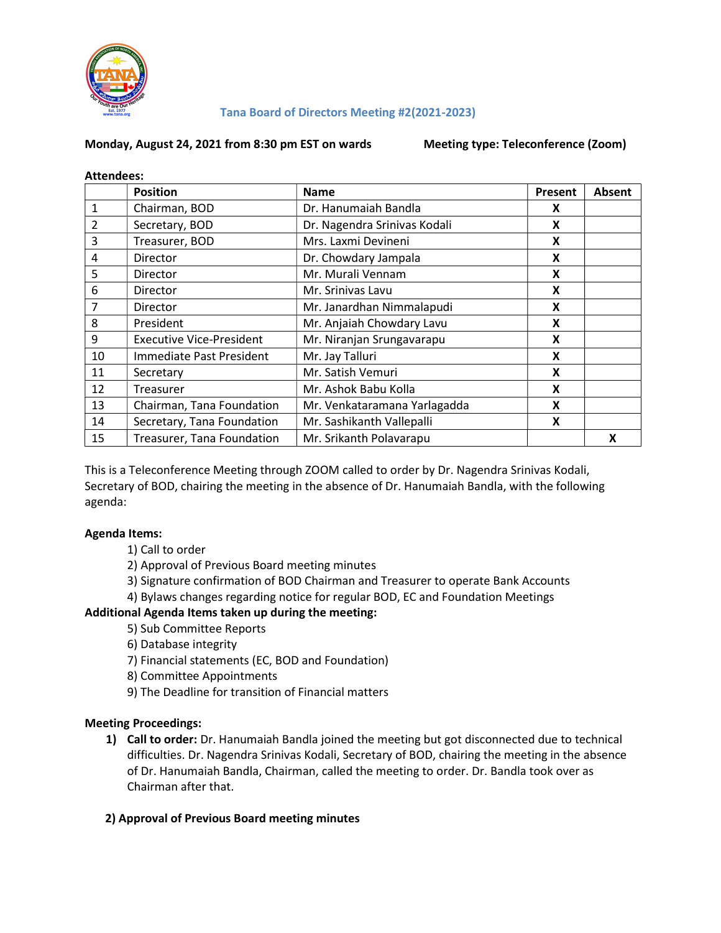

#### Tana Board of Directors Meeting #2(2021-2023)

#### Monday, August 24, 2021 from 8:30 pm EST on wards Meeting type: Teleconference (Zoom)

| <b>Attendees:</b> |                                 |                              |         |        |
|-------------------|---------------------------------|------------------------------|---------|--------|
|                   | <b>Position</b>                 | <b>Name</b>                  | Present | Absent |
| $\mathbf{1}$      | Chairman, BOD                   | Dr. Hanumaiah Bandla         | X       |        |
| $\overline{2}$    | Secretary, BOD                  | Dr. Nagendra Srinivas Kodali | X       |        |
| 3                 | Treasurer, BOD                  | Mrs. Laxmi Devineni          | X       |        |
| 4                 | Director                        | Dr. Chowdary Jampala         | X       |        |
| 5                 | Director                        | Mr. Murali Vennam            | X       |        |
| 6                 | <b>Director</b>                 | Mr. Srinivas Lavu            | X       |        |
| 7                 | <b>Director</b>                 | Mr. Janardhan Nimmalapudi    | X       |        |
| 8                 | President                       | Mr. Anjaiah Chowdary Lavu    | X       |        |
| 9                 | <b>Executive Vice-President</b> | Mr. Niranjan Srungavarapu    | X       |        |
| 10                | Immediate Past President        | Mr. Jay Talluri              | X       |        |
| 11                | Secretary                       | Mr. Satish Vemuri            | X       |        |
| 12                | Treasurer                       | Mr. Ashok Babu Kolla         | X       |        |
| 13                | Chairman, Tana Foundation       | Mr. Venkataramana Yarlagadda | X       |        |
| 14                | Secretary, Tana Foundation      | Mr. Sashikanth Vallepalli    | X       |        |
| 15                | Treasurer, Tana Foundation      | Mr. Srikanth Polavarapu      |         | X      |

This is a Teleconference Meeting through ZOOM called to order by Dr. Nagendra Srinivas Kodali, Secretary of BOD, chairing the meeting in the absence of Dr. Hanumaiah Bandla, with the following agenda:

#### Agenda Items:

- 1) Call to order
- 2) Approval of Previous Board meeting minutes
- 3) Signature confirmation of BOD Chairman and Treasurer to operate Bank Accounts
- 4) Bylaws changes regarding notice for regular BOD, EC and Foundation Meetings

# Additional Agenda Items taken up during the meeting:

- 5) Sub Committee Reports
- 6) Database integrity
- 7) Financial statements (EC, BOD and Foundation)
- 8) Committee Appointments
- 9) The Deadline for transition of Financial matters

#### Meeting Proceedings:

1) Call to order: Dr. Hanumaiah Bandla joined the meeting but got disconnected due to technical difficulties. Dr. Nagendra Srinivas Kodali, Secretary of BOD, chairing the meeting in the absence of Dr. Hanumaiah Bandla, Chairman, called the meeting to order. Dr. Bandla took over as Chairman after that.

#### 2) Approval of Previous Board meeting minutes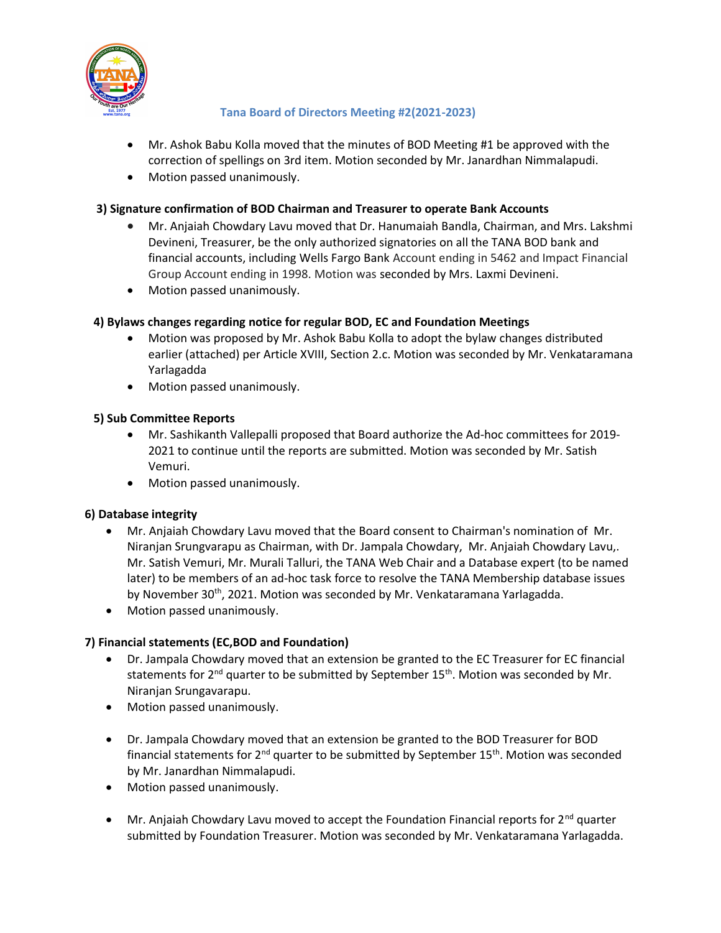

# Tana Board of Directors Meeting #2(2021-2023)

- Mr. Ashok Babu Kolla moved that the minutes of BOD Meeting #1 be approved with the correction of spellings on 3rd item. Motion seconded by Mr. Janardhan Nimmalapudi.
- Motion passed unanimously.

# 3) Signature confirmation of BOD Chairman and Treasurer to operate Bank Accounts

- Mr. Anjaiah Chowdary Lavu moved that Dr. Hanumaiah Bandla, Chairman, and Mrs. Lakshmi Devineni, Treasurer, be the only authorized signatories on all the TANA BOD bank and financial accounts, including Wells Fargo Bank Account ending in 5462 and Impact Financial Group Account ending in 1998. Motion was seconded by Mrs. Laxmi Devineni.
- Motion passed unanimously.

# 4) Bylaws changes regarding notice for regular BOD, EC and Foundation Meetings

- Motion was proposed by Mr. Ashok Babu Kolla to adopt the bylaw changes distributed earlier (attached) per Article XVIII, Section 2.c. Motion was seconded by Mr. Venkataramana Yarlagadda
- Motion passed unanimously.

# 5) Sub Committee Reports

- Mr. Sashikanth Vallepalli proposed that Board authorize the Ad-hoc committees for 2019- 2021 to continue until the reports are submitted. Motion was seconded by Mr. Satish Vemuri.
- Motion passed unanimously.

# 6) Database integrity

- Mr. Anjaiah Chowdary Lavu moved that the Board consent to Chairman's nomination of Mr. Niranjan Srungvarapu as Chairman, with Dr. Jampala Chowdary, Mr. Anjaiah Chowdary Lavu,. Mr. Satish Vemuri, Mr. Murali Talluri, the TANA Web Chair and a Database expert (to be named later) to be members of an ad-hoc task force to resolve the TANA Membership database issues by November 30<sup>th</sup>, 2021. Motion was seconded by Mr. Venkataramana Yarlagadda.
- Motion passed unanimously.

# 7) Financial statements (EC,BOD and Foundation)

- Dr. Jampala Chowdary moved that an extension be granted to the EC Treasurer for EC financial statements for  $2^{nd}$  quarter to be submitted by September 15<sup>th</sup>. Motion was seconded by Mr. Niranjan Srungavarapu.
- Motion passed unanimously.
- Dr. Jampala Chowdary moved that an extension be granted to the BOD Treasurer for BOD financial statements for  $2^{nd}$  quarter to be submitted by September 15<sup>th</sup>. Motion was seconded by Mr. Janardhan Nimmalapudi.
- Motion passed unanimously.
- **Mr.** Anjaiah Chowdary Lavu moved to accept the Foundation Financial reports for  $2^{nd}$  quarter submitted by Foundation Treasurer. Motion was seconded by Mr. Venkataramana Yarlagadda.